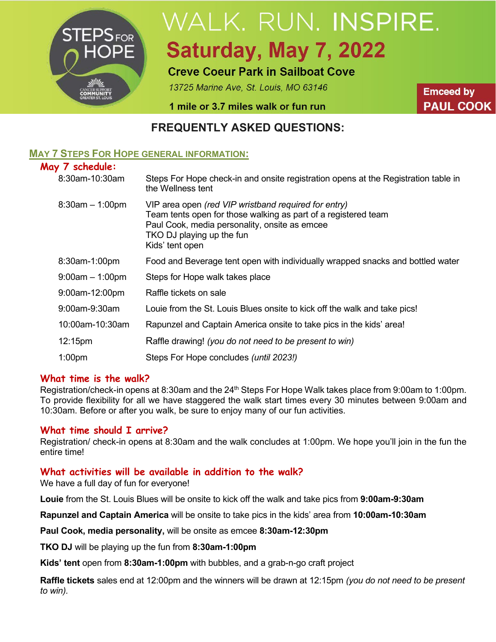

# WALK. RUN. INSPIRE. Saturday, May 7, 2022

# **Creve Coeur Park in Sailboat Cove**

13725 Marine Ave, St. Louis, MO 63146

**Emceed by PAUL COOK** 

1 mile or 3.7 miles walk or fun run

## **FREQUENTLY ASKED QUESTIONS:**

## **MAY 7 STEPS FOR HOPE GENERAL INFORMATION:**

## **May 7 schedule:**

| $\sqrt{ }$          |                                                                                                                                                                                                                         |
|---------------------|-------------------------------------------------------------------------------------------------------------------------------------------------------------------------------------------------------------------------|
| 8:30am-10:30am      | Steps For Hope check-in and onsite registration opens at the Registration table in<br>the Wellness tent                                                                                                                 |
| $8:30am - 1:00pm$   | VIP area open (red VIP wristband required for entry)<br>Team tents open for those walking as part of a registered team<br>Paul Cook, media personality, onsite as emcee<br>TKO DJ playing up the fun<br>Kids' tent open |
| 8:30am-1:00pm       | Food and Beverage tent open with individually wrapped snacks and bottled water                                                                                                                                          |
| $9:00am - 1:00pm$   | Steps for Hope walk takes place                                                                                                                                                                                         |
| 9:00am-12:00pm      | Raffle tickets on sale                                                                                                                                                                                                  |
| 9:00am-9:30am       | Louie from the St. Louis Blues onsite to kick off the walk and take pics!                                                                                                                                               |
| 10:00am-10:30am     | Rapunzel and Captain America onsite to take pics in the kids' area!                                                                                                                                                     |
| 12:15 <sub>pm</sub> | Raffle drawing! (you do not need to be present to win)                                                                                                                                                                  |
| 1:00 <sub>pm</sub>  | Steps For Hope concludes (until 2023!)                                                                                                                                                                                  |

## **What time is the walk?**

Registration/check-in opens at 8:30am and the 24<sup>th</sup> Steps For Hope Walk takes place from 9:00am to 1:00pm. To provide flexibility for all we have staggered the walk start times every 30 minutes between 9:00am and 10:30am. Before or after you walk, be sure to enjoy many of our fun activities.

#### **What time should I arrive?**

Registration/ check-in opens at 8:30am and the walk concludes at 1:00pm. We hope you'll join in the fun the entire time!

#### **What activities will be available in addition to the walk?**

We have a full day of fun for everyone!

**Louie** from the St. Louis Blues will be onsite to kick off the walk and take pics from **9:00am-9:30am**

**Rapunzel and Captain America** will be onsite to take pics in the kids' area from **10:00am-10:30am**

**Paul Cook, media personality,** will be onsite as emcee **8:30am-12:30pm**

**TKO DJ** will be playing up the fun from **8:30am-1:00pm**

**Kids' tent** open from **8:30am-1:00pm** with bubbles, and a grab-n-go craft project

**Raffle tickets** sales end at 12:00pm and the winners will be drawn at 12:15pm *(you do not need to be present to win).*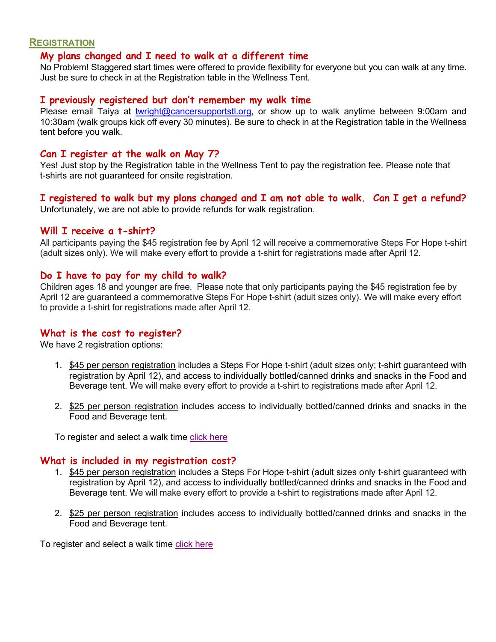#### **REGISTRATION**

#### **My plans changed and I need to walk at a different time**

No Problem! Staggered start times were offered to provide flexibility for everyone but you can walk at any time. Just be sure to check in at the Registration table in the Wellness Tent.

#### **I previously registered but don't remember my walk time**

Please email Taiya at [twright@cancersupportstl.org,](mailto:twright@cancersupportstl.org) or show up to walk anytime between 9:00am and 10:30am (walk groups kick off every 30 minutes). Be sure to check in at the Registration table in the Wellness tent before you walk.

#### **Can I register at the walk on May 7?**

Yes! Just stop by the Registration table in the Wellness Tent to pay the registration fee. Please note that t-shirts are not guaranteed for onsite registration.

#### **I registered to walk but my plans changed and I am not able to walk. Can I get a refund?** Unfortunately, we are not able to provide refunds for walk registration.

#### **Will I receive a t-shirt?**

All participants paying the \$45 registration fee by April 12 will receive a commemorative Steps For Hope t-shirt (adult sizes only). We will make every effort to provide a t-shirt for registrations made after April 12.

#### **Do I have to pay for my child to walk?**

Children ages 18 and younger are free. Please note that only participants paying the \$45 registration fee by April 12 are guaranteed a commemorative Steps For Hope t-shirt (adult sizes only). We will make every effort to provide a t-shirt for registrations made after April 12.

#### **What is the cost to register?**

We have 2 registration options:

- 1. \$45 per person registration includes a Steps For Hope t-shirt (adult sizes only; t-shirt guaranteed with registration by April 12), and access to individually bottled/canned drinks and snacks in the Food and Beverage tent. We will make every effort to provide a t-shirt to registrations made after April 12.
- 2. \$25 per person registration includes access to individually bottled/canned drinks and snacks in the Food and Beverage tent.

To register and select a walk time [click here](http://www.cancersupportstl.org/events/steps-for-hope-walk)

#### **What is included in my registration cost?**

- 1. \$45 per person registration includes a Steps For Hope t-shirt (adult sizes only t-shirt guaranteed with registration by April 12), and access to individually bottled/canned drinks and snacks in the Food and Beverage tent. We will make every effort to provide a t-shirt to registrations made after April 12.
- 2. \$25 per person registration includes access to individually bottled/canned drinks and snacks in the Food and Beverage tent.

To register and select a walk time [click here](http://www.cancersupportstl.org/events/steps-for-hope-walk)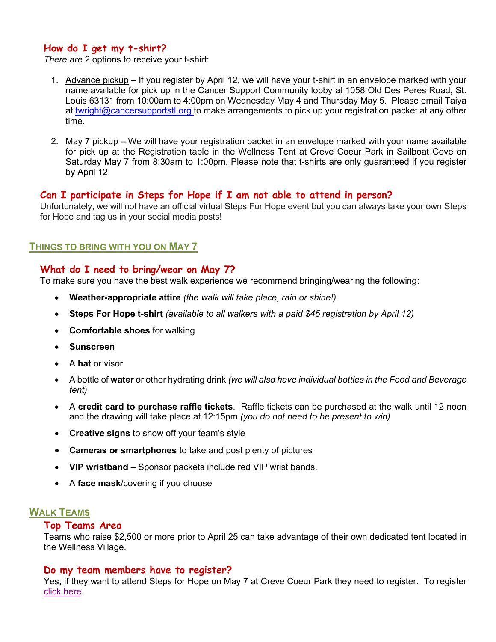#### **How do I get my t-shirt?**

*There are* 2 options to receive your t-shirt:

- 1. Advance pickup If you register by April 12, we will have your t-shirt in an envelope marked with your name available for pick up in the Cancer Support Community lobby at 1058 Old Des Peres Road, St. Louis 63131 from 10:00am to 4:00pm on Wednesday May 4 and Thursday May 5. Please email Taiya at [twright@cancersupportstl.org](mailto:twright@cancersupportstl.org) to make arrangements to pick up your registration packet at any other time.
- 2. May 7 pickup We will have your registration packet in an envelope marked with your name available for pick up at the Registration table in the Wellness Tent at Creve Coeur Park in Sailboat Cove on Saturday May 7 from 8:30am to 1:00pm. Please note that t-shirts are only guaranteed if you register by April 12.

## **Can I participate in Steps for Hope if I am not able to attend in person?**

Unfortunately, we will not have an official virtual Steps For Hope event but you can always take your own Steps for Hope and tag us in your social media posts!

## **THINGS TO BRING WITH YOU ON MAY 7**

#### **What do I need to bring/wear on May 7?**

To make sure you have the best walk experience we recommend bringing/wearing the following:

- **Weather-appropriate attire** *(the walk will take place, rain or shine!)*
- **Steps For Hope t-shirt** *(available to all walkers with a paid \$45 registration by April 12)*
- **Comfortable shoes** for walking
- **Sunscreen**
- A **hat** or visor
- A bottle of **water** or other hydrating drink *(we will also have individual bottles in the Food and Beverage tent)*
- A **credit card to purchase raffle tickets**. Raffle tickets can be purchased at the walk until 12 noon and the drawing will take place at 12:15pm *(you do not need to be present to win)*
- **Creative signs** to show off your team's style
- **Cameras or smartphones** to take and post plenty of pictures
- **VIP wristband** Sponsor packets include red VIP wrist bands.
- A **face mask**/covering if you choose

#### **WALK TEAMS**

#### **Top Teams Area**

Teams who raise \$2,500 or more prior to April 25 can take advantage of their own dedicated tent located in the Wellness Village.

#### **Do my team members have to register?**

Yes, if they want to attend Steps for Hope on May 7 at Creve Coeur Park they need to register. To register [click here.](http://www.cancersupportstl.org/events/steps-for-hope-walk)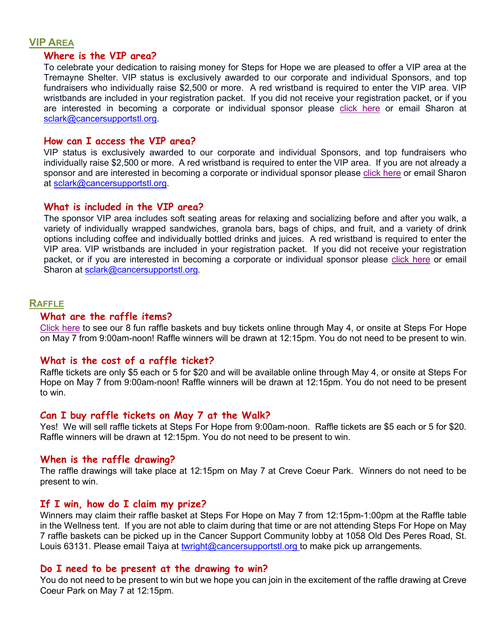#### **VIP AREA**

#### **Where is the VIP area?**

To celebrate your dedication to raising money for Steps for Hope we are pleased to offer a VIP area at the Tremayne Shelter. VIP status is exclusively awarded to our corporate and individual Sponsors, and top fundraisers who individually raise \$2,500 or more. A red wristband is required to enter the VIP area. VIP wristbands are included in your registration packet. If you did not receive your registration packet, or if you are interested in becoming a corporate or individual sponsor please [click here](http://www.cancersupportstl.org/events/steps-for-hope-walk) or email Sharon at [sclark@cancersupportstl.org.](mailto:sclark@cancersupportstl.org)

#### **How can I access the VIP area?**

VIP status is exclusively awarded to our corporate and individual Sponsors, and top fundraisers who individually raise \$2,500 or more. A red wristband is required to enter the VIP area. If you are not already a sponsor and are interested in becoming a corporate or individual sponsor please [click here](http://www.cancersupportstl.org/events/steps-for-hope-walk) or email Sharon at [sclark@cancersupportstl.org.](mailto:sclark@cancersupportstl.org)

#### **What is included in the VIP area?**

The sponsor VIP area includes soft seating areas for relaxing and socializing before and after you walk, a variety of individually wrapped sandwiches, granola bars, bags of chips, and fruit, and a variety of drink options including coffee and individually bottled drinks and juices. A red wristband is required to enter the VIP area. VIP wristbands are included in your registration packet. If you did not receive your registration packet, or if you are interested in becoming a corporate or individual sponsor please [click here](http://www.cancersupportstl.org/events/steps-for-hope-walk) or email Sharon at [sclark@cancersupportstl.org.](mailto:sclark@cancersupportstl.org)

#### **RAFFLE**

#### **What are the raffle items?**

[Click here](https://cancersupportstl.z2systems.com/np/clients/cancersupportstl/giftstore.jsp) to see our 8 fun raffle baskets and buy tickets online through May 4, or onsite at Steps For Hope on May 7 from 9:00am-noon! Raffle winners will be drawn at 12:15pm. You do not need to be present to win.

#### **What is the cost of a raffle ticket?**

Raffle tickets are only \$5 each or 5 for \$20 and will be available online through May 4, or onsite at Steps For Hope on May 7 from 9:00am-noon! Raffle winners will be drawn at 12:15pm. You do not need to be present to win.

#### **Can I buy raffle tickets on May 7 at the Walk?**

Yes! We will sell raffle tickets at Steps For Hope from 9:00am-noon. Raffle tickets are \$5 each or 5 for \$20. Raffle winners will be drawn at 12:15pm. You do not need to be present to win.

#### **When is the raffle drawing?**

The raffle drawings will take place at 12:15pm on May 7 at Creve Coeur Park. Winners do not need to be present to win.

#### **If I win, how do I claim my prize?**

Winners may claim their raffle basket at Steps For Hope on May 7 from 12:15pm-1:00pm at the Raffle table in the Wellness tent. If you are not able to claim during that time or are not attending Steps For Hope on May 7 raffle baskets can be picked up in the Cancer Support Community lobby at 1058 Old Des Peres Road, St. Louis 63131. Please email Taiya at [twright@cancersupportstl.org](mailto:twright@cancersupportstl.org) to make pick up arrangements.

#### **Do I need to be present at the drawing to win?**

You do not need to be present to win but we hope you can join in the excitement of the raffle drawing at Creve Coeur Park on May 7 at 12:15pm.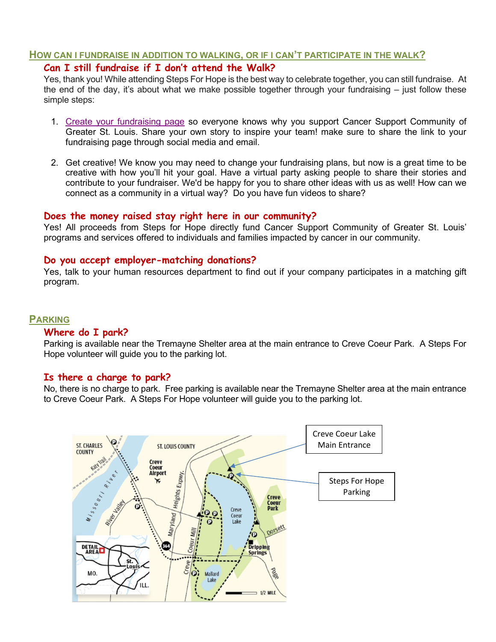#### **HOW CAN I FUNDRAISE IN ADDITION TO WALKING, OR IF I CAN'T PARTICIPATE IN THE WALK?**

## **Can I still fundraise if I don't attend the Walk?**

Yes, thank you! While attending Steps For Hope is the best way to celebrate together, you can still fundraise. At the end of the day, it's about what we make possible together through your fundraising – just follow these simple steps:

- 1. [Create your fundraising page](https://cancersupportstl.app.neoncrm.com/campaign.jsp?campaign=264&) so everyone knows why you support Cancer Support Community of Greater St. Louis. Share your own story to inspire your team! make sure to share the link to your fundraising page through social media and email.
- 2. Get creative! We know you may need to change your fundraising plans, but now is a great time to be creative with how you'll hit your goal. Have a virtual party asking people to share their stories and contribute to your fundraiser. We'd be happy for you to share other ideas with us as well! How can we connect as a community in a virtual way? Do you have fun videos to share?

## **Does the money raised stay right here in our community?**

Yes! All proceeds from Steps for Hope directly fund Cancer Support Community of Greater St. Louis' programs and services offered to individuals and families impacted by cancer in our community.

## **Do you accept employer-matching donations?**

Yes, talk to your human resources department to find out if your company participates in a matching gift program.

#### **PARKING**

#### **Where do I park?**

Parking is available near the Tremayne Shelter area at the main entrance to Creve Coeur Park. A Steps For Hope volunteer will guide you to the parking lot.

#### **Is there a charge to park?**

No, there is no charge to park. Free parking is available near the Tremayne Shelter area at the main entrance to Creve Coeur Park. A Steps For Hope volunteer will guide you to the parking lot.